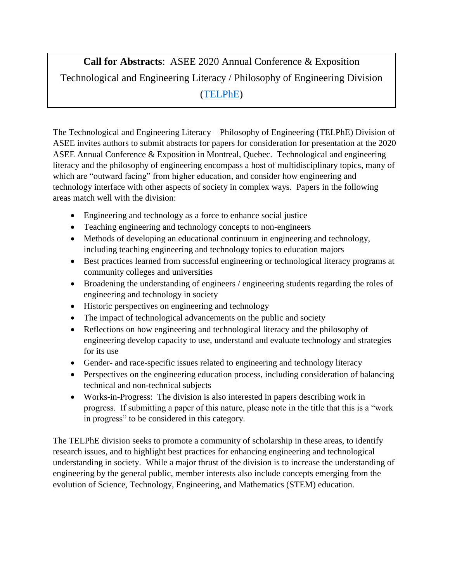**Call for Abstracts**: ASEE 2020 Annual Conference & Exposition Technological and Engineering Literacy / Philosophy of Engineering Division [\(TELPhE\)](http://telphe.org/)

The Technological and Engineering Literacy – Philosophy of Engineering (TELPhE) Division of ASEE invites authors to submit abstracts for papers for consideration for presentation at the 2020 ASEE Annual Conference & Exposition in Montreal, Quebec. Technological and engineering literacy and the philosophy of engineering encompass a host of multidisciplinary topics, many of which are "outward facing" from higher education, and consider how engineering and technology interface with other aspects of society in complex ways. Papers in the following areas match well with the division:

- Engineering and technology as a force to enhance social justice
- Teaching engineering and technology concepts to non-engineers
- Methods of developing an educational continuum in engineering and technology, including teaching engineering and technology topics to education majors
- Best practices learned from successful engineering or technological literacy programs at community colleges and universities
- Broadening the understanding of engineers / engineering students regarding the roles of engineering and technology in society
- Historic perspectives on engineering and technology
- The impact of technological advancements on the public and society
- Reflections on how engineering and technological literacy and the philosophy of engineering develop capacity to use, understand and evaluate technology and strategies for its use
- Gender- and race-specific issues related to engineering and technology literacy
- Perspectives on the engineering education process, including consideration of balancing technical and non-technical subjects
- Works-in-Progress: The division is also interested in papers describing work in progress. If submitting a paper of this nature, please note in the title that this is a "work in progress" to be considered in this category.

The TELPhE division seeks to promote a community of scholarship in these areas, to identify research issues, and to highlight best practices for enhancing engineering and technological understanding in society. While a major thrust of the division is to increase the understanding of engineering by the general public, member interests also include concepts emerging from the evolution of Science, Technology, Engineering, and Mathematics (STEM) education.